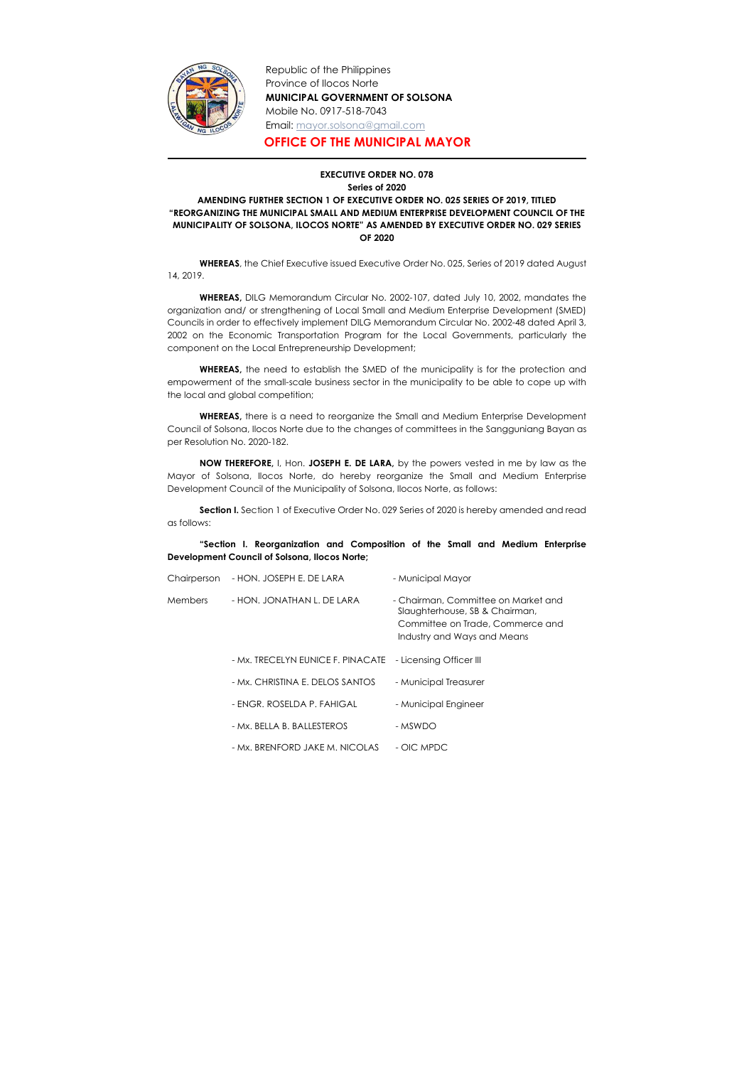

Republic of the Philippines Province of Ilocos Norte MUNICIPAL GOVERNMENT OF SOLSONA Mobile No. 0917-518-7043 Email: mayor.solsona@gmail.com

OFFICE OF THE MUNICIPAL MAYOR

## EXECUTIVE ORDER NO. 078 Series of 2020 AMENDING FURTHER SECTION 1 OF EXECUTIVE ORDER NO. 025 SERIES OF 2019, TITLED "REORGANIZING THE MUNICIPAL SMALL AND MEDIUM ENTERPRISE DEVELOPMENT COUNCIL OF THE MUNICIPALITY OF SOLSONA, ILOCOS NORTE" AS AMENDED BY EXECUTIVE ORDER NO. 029 SERIES OF 2020

 WHEREAS, the Chief Executive issued Executive Order No. 025, Series of 2019 dated August 14, 2019.

WHEREAS, DILG Memorandum Circular No. 2002-107, dated July 10, 2002, mandates the organization and/ or strengthening of Local Small and Medium Enterprise Development (SMED) Councils in order to effectively implement DILG Memorandum Circular No. 2002-48 dated April 3, 2002 on the Economic Transportation Program for the Local Governments, particularly the component on the Local Entrepreneurship Development;

Section I. Section 1 of Executive Order No. 029 Series of 2020 is hereby amended and read as follows:

WHEREAS, the need to establish the SMED of the municipality is for the protection and empowerment of the small-scale business sector in the municipality to be able to cope up with the local and global competition;

WHEREAS, there is a need to reorganize the Small and Medium Enterprise Development Council of Solsona, Ilocos Norte due to the changes of committees in the Sangguniang Bayan as per Resolution No. 2020-182.

NOW THEREFORE, I, Hon. JOSEPH E. DE LARA, by the powers vested in me by law as the Mayor of Solsona, Ilocos Norte, do hereby reorganize the Small and Medium Enterprise Development Council of the Municipality of Solsona, Ilocos Norte, as follows:

"Section I. Reorganization and Composition of the Small and Medium Enterprise Development Council of Solsona, Ilocos Norte;

| Chairperson | - HON. JOSEPH E. DE LARA          | - Municipal Mayor                                                                                                                        |
|-------------|-----------------------------------|------------------------------------------------------------------------------------------------------------------------------------------|
| Members     | - HON. JONATHAN L. DE LARA        | - Chairman, Committee on Market and<br>Slaughterhouse, SB & Chairman,<br>Committee on Trade, Commerce and<br>Industry and Ways and Means |
|             | - Mx. TRECELYN EUNICE F. PINACATE | - Licensing Officer III                                                                                                                  |
|             | - Mx. CHRISTINA E. DELOS SANTOS   | - Municipal Treasurer                                                                                                                    |
|             | - ENGR. ROSELDA P. FAHIGAL        | - Municipal Engineer                                                                                                                     |
|             | - Mx. BELLA B. BALLESTEROS        | - MSWDO                                                                                                                                  |
|             | - Mx. BRENFORD JAKE M. NICOLAS    | - OIC MPDC                                                                                                                               |